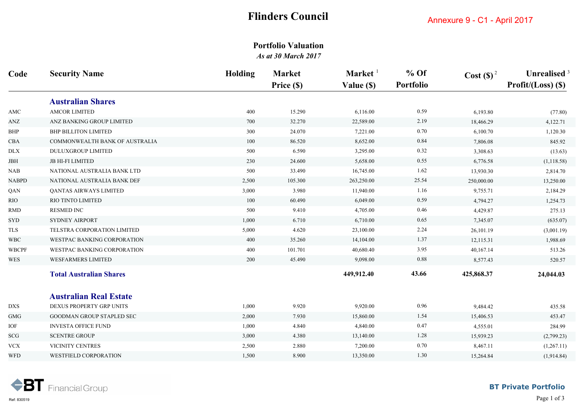# **Flinders Council**

## **Portfolio Valuation** *As at 30 March 2017*

| Code                        | <b>Security Name</b>           | <b>Holding</b> | <b>Market</b> | Market <sup>1</sup> | $%$ Of    | $\text{Cost}(\text{S})^2$ | Unrealised <sup>3</sup> |
|-----------------------------|--------------------------------|----------------|---------------|---------------------|-----------|---------------------------|-------------------------|
|                             |                                |                | Price (\$)    | Value (\$)          | Portfolio |                           | Profit/ $(Loss)$ (\$)   |
|                             | <b>Australian Shares</b>       |                |               |                     |           |                           |                         |
| AMC                         | <b>AMCOR LIMITED</b>           | 400            | 15.290        | 6,116.00            | 0.59      | 6,193.80                  | (77.80)                 |
| ANZ                         | ANZ BANKING GROUP LIMITED      | 700            | 32.270        | 22,589.00           | 2.19      | 18,466.29                 | 4,122.71                |
| BHP                         | <b>BHP BILLITON LIMITED</b>    | 300            | 24.070        | 7,221.00            | 0.70      | 6,100.70                  | 1,120.30                |
| CBA                         | COMMONWEALTH BANK OF AUSTRALIA | 100            | 86.520        | 8,652.00            | 0.84      | 7,806.08                  | 845.92                  |
| <b>DLX</b>                  | <b>DULUXGROUP LIMITED</b>      | 500            | 6.590         | 3,295.00            | 0.32      | 3,308.63                  | (13.63)                 |
| JBH                         | <b>JB HI-FI LIMITED</b>        | 230            | 24.600        | 5,658.00            | 0.55      | 6,776.58                  | (1, 118.58)             |
| $\rm NAB$                   | NATIONAL AUSTRALIA BANK LTD    | 500            | 33.490        | 16,745.00           | 1.62      | 13,930.30                 | 2,814.70                |
| <b>NABPD</b>                | NATIONAL AUSTRALIA BANK DEF    | 2,500          | 105.300       | 263,250.00          | 25.54     | 250,000.00                | 13,250.00               |
| QAN                         | QANTAS AIRWAYS LIMITED         | 3,000          | 3.980         | 11,940.00           | 1.16      | 9,755.71                  | 2,184.29                |
| <b>RIO</b>                  | RIO TINTO LIMITED              | 100            | 60.490        | 6,049.00            | 0.59      | 4,794.27                  | 1,254.73                |
| <b>RMD</b>                  | RESMED INC                     | 500            | 9.410         | 4,705.00            | 0.46      | 4,429.87                  | 275.13                  |
| SYD                         | <b>SYDNEY AIRPORT</b>          | 1,000          | 6.710         | 6,710.00            | 0.65      | 7,345.07                  | (635.07)                |
| ${\rm TLS}$                 | TELSTRA CORPORATION LIMITED    | 5,000          | 4.620         | 23,100.00           | 2.24      | 26,101.19                 | (3,001.19)              |
| <b>WBC</b>                  | WESTPAC BANKING CORPORATION    | 400            | 35.260        | 14,104.00           | 1.37      | 12,115.31                 | 1,988.69                |
| <b>WBCPF</b>                | WESTPAC BANKING CORPORATION    | 400            | 101.701       | 40,680.40           | 3.95      | 40,167.14                 | 513.26                  |
| WES                         | <b>WESFARMERS LIMITED</b>      | 200            | 45.490        | 9,098.00            | 0.88      | 8,577.43                  | 520.57                  |
|                             | <b>Total Australian Shares</b> |                |               | 449,912.40          | 43.66     | 425,868.37                | 24,044.03               |
|                             | <b>Australian Real Estate</b>  |                |               |                     |           |                           |                         |
| ${\rm DXS}$                 | DEXUS PROPERTY GRP UNITS       | 1,000          | 9.920         | 9,920.00            | 0.96      | 9,484.42                  | 435.58                  |
| GMG                         | GOODMAN GROUP STAPLED SEC      | 2,000          | 7.930         | 15,860.00           | 1.54      | 15,406.53                 | 453.47                  |
| $\ensuremath{\mathsf{IOF}}$ | <b>INVESTA OFFICE FUND</b>     | 1,000          | 4.840         | 4,840.00            | 0.47      | 4,555.01                  | 284.99                  |
| SCG                         | <b>SCENTRE GROUP</b>           | 3,000          | 4.380         | 13,140.00           | 1.28      | 15,939.23                 | (2,799.23)              |
| <b>VCX</b>                  | VICINITY CENTRES               | 2,500          | 2.880         | 7,200.00            | 0.70      | 8,467.11                  | (1,267.11)              |
| <b>WFD</b>                  | <b>WESTFIELD CORPORATION</b>   | 1,500          | 8.900         | 13,350.00           | 1.30      | 15,264.84                 | (1,914.84)              |

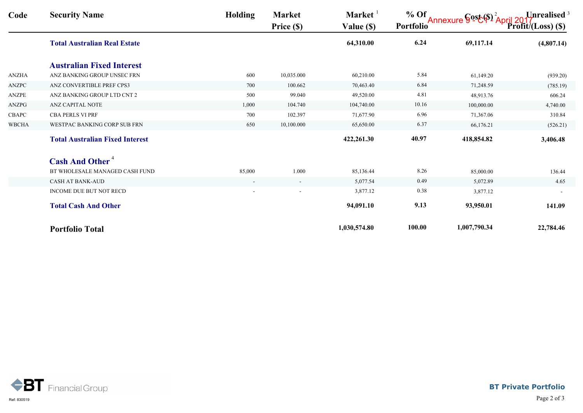| Code         | <b>Security Name</b>                   | <b>Holding</b>           | <b>Market</b><br>Price (\$) | Market $1$<br>Value (\$) | $%$ Of<br><b>Portfolio</b> | Annexure $\S$ <sup>os</sup> $\mathcal{E}(\$)$ <sup>2</sup> April 2017 | $\text{Profit} / (\text{Loss})$ (\$) |
|--------------|----------------------------------------|--------------------------|-----------------------------|--------------------------|----------------------------|-----------------------------------------------------------------------|--------------------------------------|
|              | <b>Total Australian Real Estate</b>    |                          |                             | 64,310.00                | 6.24                       | 69,117.14                                                             | (4,807.14)                           |
|              | <b>Australian Fixed Interest</b>       |                          |                             |                          |                            |                                                                       |                                      |
| ANZHA        | ANZ BANKING GROUP UNSEC FRN            | 600                      | 10,035.000                  | 60,210.00                | 5.84                       | 61,149.20                                                             | (939.20)                             |
| <b>ANZPC</b> | ANZ CONVERTIBLE PREF CPS3              | 700                      | 100.662                     | 70,463.40                | 6.84                       | 71,248.59                                                             | (785.19)                             |
| ANZPE        | ANZ BANKING GROUP LTD CNT 2            | 500                      | 99.040                      | 49,520.00                | 4.81                       | 48,913.76                                                             | 606.24                               |
| ANZPG        | ANZ CAPITAL NOTE                       | 1,000                    | 104.740                     | 104,740.00               | 10.16                      | 100,000.00                                                            | 4,740.00                             |
| CBAPC        | <b>CBA PERLS VI PRF</b>                | 700                      | 102.397                     | 71,677.90                | 6.96                       | 71,367.06                                                             | 310.84                               |
| <b>WBCHA</b> | WESTPAC BANKING CORP SUB FRN           | 650                      | 10,100.000                  | 65,650.00                | 6.37                       | 66,176.21                                                             | (526.21)                             |
|              | <b>Total Australian Fixed Interest</b> |                          |                             | 422,261.30               | 40.97                      | 418,854.82                                                            | 3,406.48                             |
|              | <b>Cash And Other<sup>4</sup></b>      |                          |                             |                          |                            |                                                                       |                                      |
|              | BT WHOLESALE MANAGED CASH FUND         | 85,000                   | 1.000                       | 85,136.44                | 8.26                       | 85,000.00                                                             | 136.44                               |
|              | <b>CASH AT BANK-AUD</b>                | $\overline{\phantom{a}}$ | $\sim$                      | 5,077.54                 | 0.49                       | 5,072.89                                                              | 4.65                                 |
|              | INCOME DUE BUT NOT RECD                | $\overline{a}$           |                             | 3,877.12                 | 0.38                       | 3,877.12                                                              |                                      |
|              | <b>Total Cash And Other</b>            |                          |                             | 94,091.10                | 9.13                       | 93,950.01                                                             | 141.09                               |
|              | <b>Portfolio Total</b>                 |                          |                             | 1,030,574.80             | 100.00                     | 1,007,790.34                                                          | 22,784.46                            |